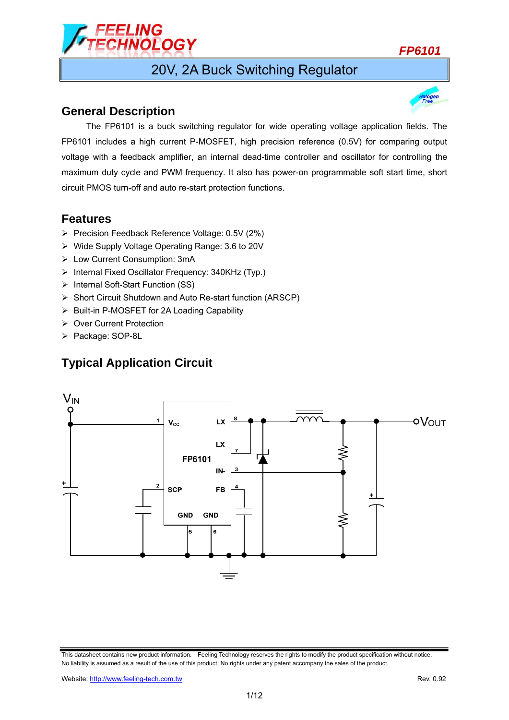

## 20V, 2A Buck Switching Regulator

### **General Description**

 The FP6101 is a buck switching regulator for wide operating voltage application fields. The FP6101 includes a high current P-MOSFET, high precision reference (0.5V) for comparing output voltage with a feedback amplifier, an internal dead-time controller and oscillator for controlling the maximum duty cycle and PWM frequency. It also has power-on programmable soft start time, short circuit PMOS turn-off and auto re-start protection functions.

### **Features**

- Precision Feedback Reference Voltage: 0.5V (2%)
- Wide Supply Voltage Operating Range: 3.6 to 20V
- Low Current Consumption: 3mA
- $\triangleright$  Internal Fixed Oscillator Frequency: 340KHz (Typ.)
- > Internal Soft-Start Function (SS)
- Short Circuit Shutdown and Auto Re-start function (ARSCP)
- $\triangleright$  Built-in P-MOSFET for 2A Loading Capability
- ▶ Over Current Protection
- > Package: SOP-8L

## **Typical Application Circuit**



This datasheet contains new product information. Feeling Technology reserves the rights to modify the product specification without notice. No liability is assumed as a result of the use of this product. No rights under any patent accompany the sales of the product.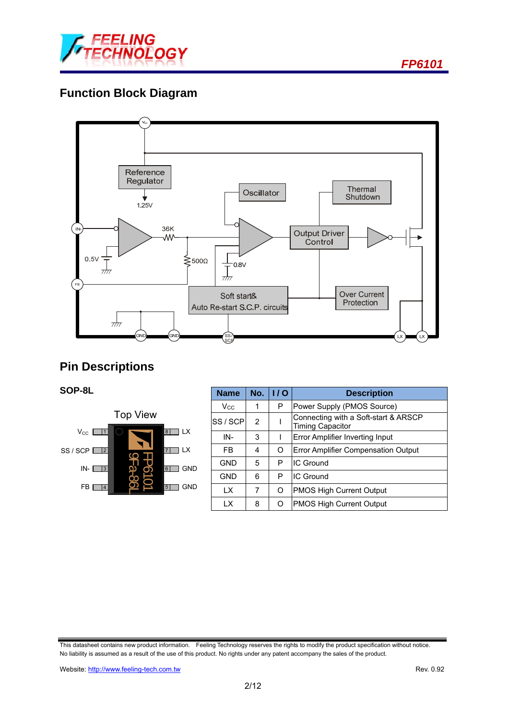

## **Function Block Diagram**



## **Pin Descriptions**

### **SOP-8L**



| <b>Name</b>  | No. | 1/0 | <b>Description</b>                                              |  |
|--------------|-----|-----|-----------------------------------------------------------------|--|
| $V_{\rm CC}$ |     | Р   | Power Supply (PMOS Source)                                      |  |
| SS / SCP     | 2   |     | Connecting with a Soft-start & ARSCP<br><b>Timing Capacitor</b> |  |
| IN-          | 3   |     | Error Amplifier Inverting Input                                 |  |
| FB.          | 4   | O   | Error Amplifier Compensation Output                             |  |
| <b>GND</b>   | 5   | P   | IC Ground                                                       |  |
| <b>GND</b>   | 6   | P   | IC Ground                                                       |  |
| <b>LX</b>    | 7   | O   | <b>PMOS High Current Output</b>                                 |  |
| <b>LX</b>    | 8   | O   | PMOS High Current Output                                        |  |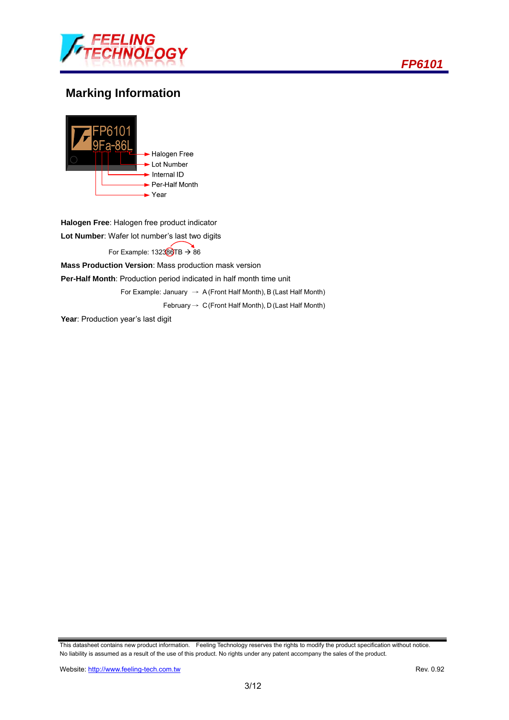



## **Marking Information**



**Halogen Free**: Halogen free product indicator **Lot Number**: Wafer lot number's last two digits For Example:  $132380TB \rightarrow 86$ **Mass Production Version**: Mass production mask version **Per-Half Month**: Production period indicated in half month time unit

For Example: January  $\rightarrow$  A (Front Half Month), B (Last Half Month)

February  $\rightarrow$  C (Front Half Month), D (Last Half Month)

Year: Production year's last digit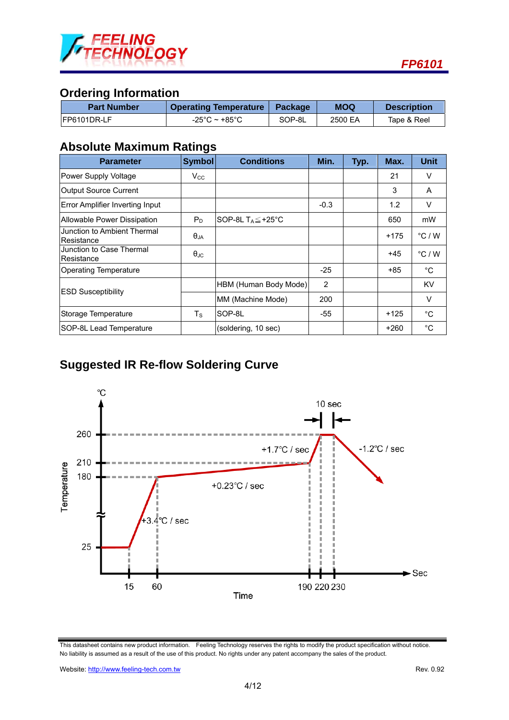

## **Ordering Information**

| <b>Part Number</b> | <b>Operating Temperature   Package</b> |        | MOQ     | <b>Description</b> |  |
|--------------------|----------------------------------------|--------|---------|--------------------|--|
| IFP6101DR-LF       | -25°C ~ +85°C                          | SOP-8L | 2500 EA | Tape & Reel        |  |

## **Absolute Maximum Ratings**

| <b>Parameter</b>                          | <b>Symbol</b>        | <b>Conditions</b>              | Min.   | Typ. | Max.   | <b>Unit</b>      |
|-------------------------------------------|----------------------|--------------------------------|--------|------|--------|------------------|
| Power Supply Voltage                      | $V_{\rm CC}$         |                                |        |      | 21     | V                |
| Output Source Current                     |                      |                                |        |      | 3      | A                |
| Error Amplifier Inverting Input           |                      |                                | $-0.3$ |      | 1.2    | V                |
| Allowable Power Dissipation               | $P_D$                | SOP-8L $T_A \leq +25^{\circ}C$ |        |      | 650    | mW               |
| Junction to Ambient Thermal<br>Resistance | $\theta_{JA}$        |                                |        |      | $+175$ | $\degree$ C / W  |
| Junction to Case Thermal<br>Resistance    | $\theta_{\text{JC}}$ |                                |        |      | $+45$  | $^{\circ}$ C / W |
| <b>Operating Temperature</b>              |                      |                                | $-25$  |      | +85    | $^{\circ}$ C     |
|                                           |                      | HBM (Human Body Mode)          | 2      |      |        | <b>KV</b>        |
| <b>ESD Susceptibility</b>                 |                      | MM (Machine Mode)              | 200    |      |        | V                |
| Storage Temperature                       | $T_{\rm S}$          | SOP-8L                         | -55    |      | $+125$ | $^{\circ}C$      |
| SOP-8L Lead Temperature                   |                      | (soldering, 10 sec)            |        |      | $+260$ | $^{\circ}$ C     |

# **Suggested IR Re-flow Soldering Curve**



This datasheet contains new product information. Feeling Technology reserves the rights to modify the product specification without notice. No liability is assumed as a result of the use of this product. No rights under any patent accompany the sales of the product.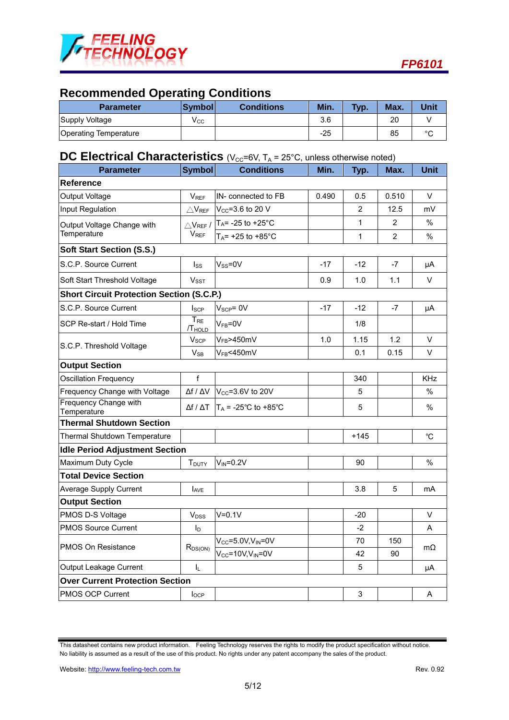

## **Recommended Operating Conditions**

| <b>Parameter</b>      | <b>Symboll</b> | <b>Conditions</b> | Min.  | Typ. | Max. | Unit   |
|-----------------------|----------------|-------------------|-------|------|------|--------|
| Supply Voltage        | V cc           |                   | 3.6   |      | 20   |        |
| Operating Temperature |                |                   | $-25$ |      | 85   | $\sim$ |

## **DC Electrical Characteristics** (V<sub>CC</sub>=6V, T<sub>A</sub> = 25°C, unless otherwise noted)

| <b>Parameter</b>                                 | <b>Symbol</b>                  | <b>Conditions</b>              | Min.  | Typ.           | Max.           | <b>Unit</b>  |
|--------------------------------------------------|--------------------------------|--------------------------------|-------|----------------|----------------|--------------|
| <b>Reference</b>                                 |                                |                                |       |                |                |              |
| Output Voltage                                   | <b>V<sub>REF</sub></b>         | IN- connected to FB            | 0.490 | 0.5            | 0.510          | V            |
| Input Regulation                                 | $\triangle$ V <sub>REF</sub>   | $V_{CC}$ =3.6 to 20 V          |       | $\overline{2}$ | 12.5           | mV           |
| Output Voltage Change with                       | $\triangle$ V <sub>REF</sub> / | $T_A$ = -25 to +25°C           |       | $\mathbf{1}$   | $\overline{2}$ | $\%$         |
| Temperature                                      | V <sub>REF</sub>               | $T_A$ = +25 to +85°C           |       | $\mathbf{1}$   | $\overline{2}$ | %            |
| <b>Soft Start Section (S.S.)</b>                 |                                |                                |       |                |                |              |
| S.C.P. Source Current                            | $I_{SS}$                       | $V_{SS} = 0V$                  | $-17$ | $-12$          | -7             | μA           |
| Soft Start Threshold Voltage                     | V <sub>SST</sub>               |                                | 0.9   | 1.0            | 1.1            | V            |
| <b>Short Circuit Protection Section (S.C.P.)</b> |                                |                                |       |                |                |              |
| S.C.P. Source Current                            | $I_{\text{SCP}}$               | $V_{\text{SCP}} = 0V$          | $-17$ | $-12$          | $-7$           | μA           |
| SCP Re-start / Hold Time                         | $T_{RE}$<br>/T <sub>HOLD</sub> | $V_{FB} = 0V$                  |       | 1/8            |                |              |
| S.C.P. Threshold Voltage                         | <b>V<sub>SCP</sub></b>         | $V_{FB}$ >450mV                | 1.0   | 1.15           | 1.2            | V            |
|                                                  | $V_{SB}$                       | $V_{FB}$ <450mV                |       | 0.1            | 0.15           | $\vee$       |
| <b>Output Section</b>                            |                                |                                |       |                |                |              |
| <b>Oscillation Frequency</b>                     | f                              |                                |       | 340            |                | <b>KHz</b>   |
| Frequency Change with Voltage                    | $\Delta f / \Delta V$          | V <sub>CC</sub> =3.6V to 20V   |       | 5              |                | %            |
| Frequency Change with<br>Temperature             | $\Delta f / \Delta T$          | $T_A$ = -25°C to +85°C         |       | 5              |                | %            |
| <b>Thermal Shutdown Section</b>                  |                                |                                |       |                |                |              |
| Thermal Shutdown Temperature                     |                                |                                |       | $+145$         |                | $\mathrm{C}$ |
| <b>Idle Period Adjustment Section</b>            |                                |                                |       |                |                |              |
| Maximum Duty Cycle                               | T <sub>DUTY</sub>              | $V_{IN} = 0.2V$                |       | 90             |                | %            |
| <b>Total Device Section</b>                      |                                |                                |       |                |                |              |
| <b>Average Supply Current</b>                    | <b>LAVE</b>                    |                                |       | 3.8            | 5              | mA           |
| <b>Output Section</b>                            |                                |                                |       |                |                |              |
| PMOS D-S Voltage                                 | <b>V</b> <sub>DSS</sub>        | $V = 0.1V$                     |       | $-20$          |                | V            |
| <b>PMOS Source Current</b>                       | I <sub>D</sub>                 |                                |       | $-2$           |                | Α            |
| <b>PMOS On Resistance</b>                        | $R_{DS(ON)}$                   | $V_{CC} = 5.0 V, V_{IN} = 0 V$ |       | 70             | 150            | $m\Omega$    |
|                                                  |                                | $V_{CC} = 10V, V_{IN} = 0V$    |       | 42             | 90             |              |
| Output Leakage Current                           | $\mathbf{L}$                   |                                |       | 5              |                | μA           |
| <b>Over Current Protection Section</b>           |                                |                                |       |                |                |              |
| PMOS OCP Current                                 | $I_{OCP}$                      |                                |       | 3              |                | Α            |
|                                                  |                                |                                |       |                |                |              |

This datasheet contains new product information. Feeling Technology reserves the rights to modify the product specification without notice. No liability is assumed as a result of the use of this product. No rights under any patent accompany the sales of the product.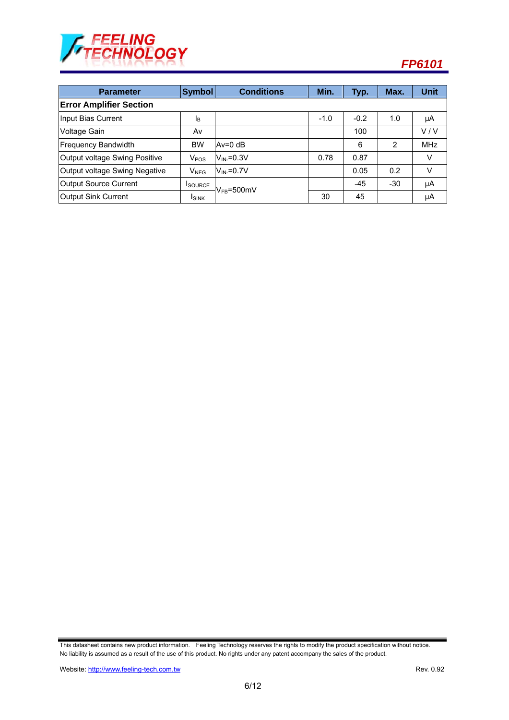

| <b>Parameter</b>               | Symbol                  | <b>Conditions</b> | Min.   | Typ.   | Max.  | <b>Unit</b> |  |  |
|--------------------------------|-------------------------|-------------------|--------|--------|-------|-------------|--|--|
| <b>Error Amplifier Section</b> |                         |                   |        |        |       |             |  |  |
| Input Bias Current             | <b>I</b> B              |                   | $-1.0$ | $-0.2$ | 1.0   | μA          |  |  |
| Voltage Gain                   | Av                      |                   |        | 100    |       | V/V         |  |  |
| <b>Frequency Bandwidth</b>     | <b>BW</b>               | $Av=0$ dB         |        | 6      | 2     | <b>MHz</b>  |  |  |
| Output voltage Swing Positive  | <b>V</b> <sub>POS</sub> | $V_{IN}=0.3V$     | 0.78   | 0.87   |       | V           |  |  |
| Output voltage Swing Negative  | $V_{NEG}$               | $V_{IN}=0.7V$     |        | 0.05   | 0.2   | $\vee$      |  |  |
| <b>Output Source Current</b>   | <b>I</b> SOURCE         | $V_{FB} = 500$ mV |        | -45    | $-30$ | μA          |  |  |
| Output Sink Current            | <b>ISINK</b>            |                   | 30     | 45     |       | μA          |  |  |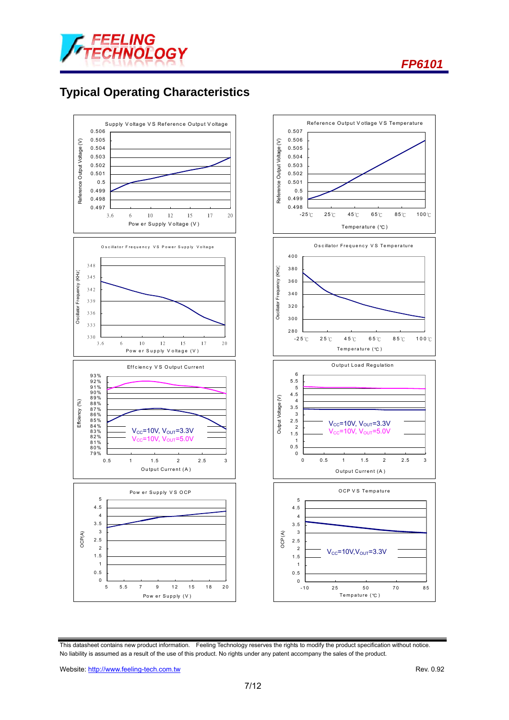



## **Typical Operating Characteristics**



This datasheet contains new product information. Feeling Technology reserves the rights to modify the product specification without notice. No liability is assumed as a result of the use of this product. No rights under any patent accompany the sales of the product.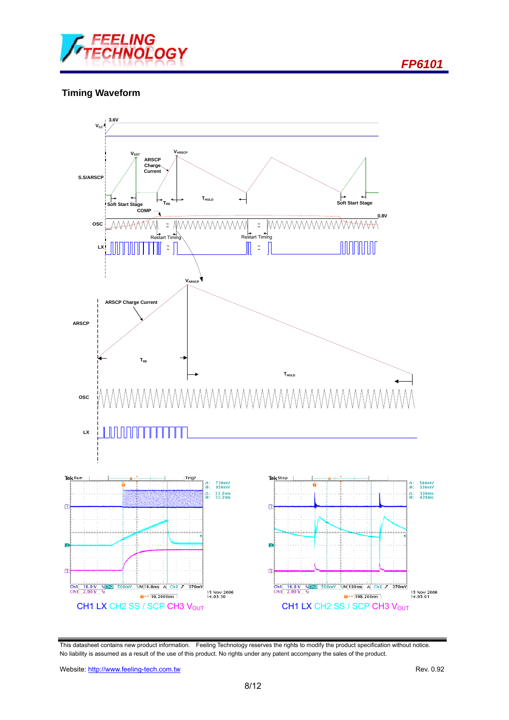

### **Timing Waveform**



This datasheet contains new product information. Feeling Technology reserves the rights to modify the product specification without notice. No liability is assumed as a result of the use of this product. No rights under any patent accompany the sales of the product.

Website: http://www.feeling-tech.com.tw Rev. 0.92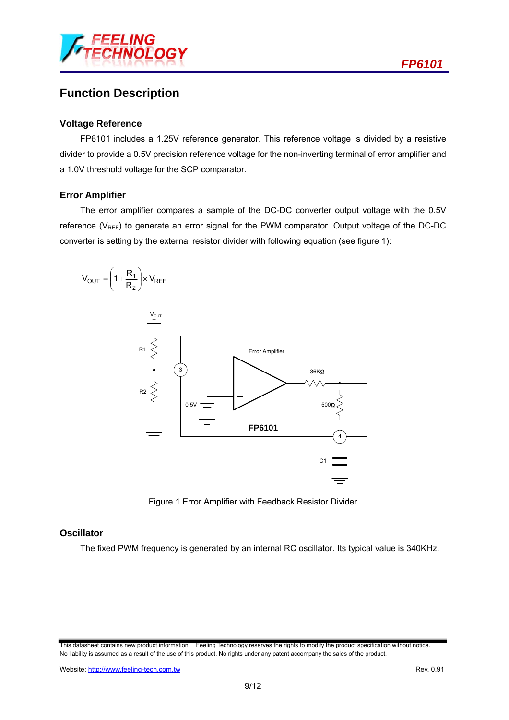

### **Function Description**

#### **Voltage Reference**

FP6101 includes a 1.25V reference generator. This reference voltage is divided by a resistive divider to provide a 0.5V precision reference voltage for the non-inverting terminal of error amplifier and a 1.0V threshold voltage for the SCP comparator.

#### **Error Amplifier**

The error amplifier compares a sample of the DC-DC converter output voltage with the 0.5V reference ( $V_{REF}$ ) to generate an error signal for the PWM comparator. Output voltage of the DC-DC converter is setting by the external resistor divider with following equation (see figure 1):



Figure 1 Error Amplifier with Feedback Resistor Divider

### **Oscillator**

The fixed PWM frequency is generated by an internal RC oscillator. Its typical value is 340KHz.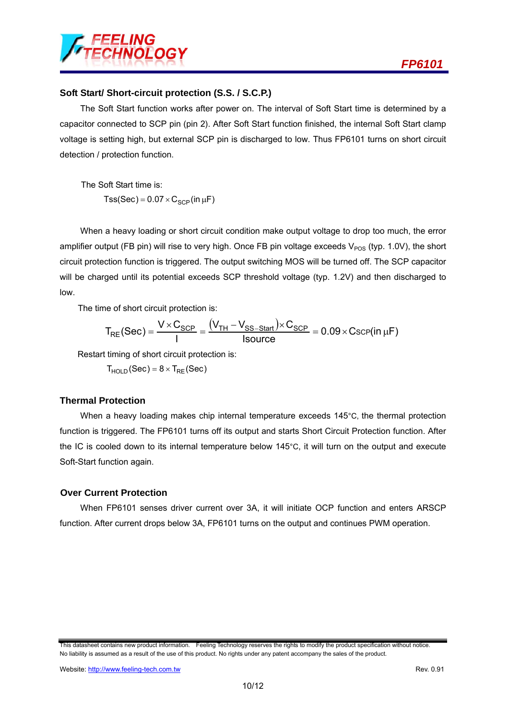

#### **Soft Start/ Short-circuit protection (S.S. / S.C.P.)**

The Soft Start function works after power on. The interval of Soft Start time is determined by a capacitor connected to SCP pin (pin 2). After Soft Start function finished, the internal Soft Start clamp voltage is setting high, but external SCP pin is discharged to low. Thus FP6101 turns on short circuit detection / protection function.

The Soft Start time is:  $Tss(Sec) = 0.07 \times C_{SCP}(in \mu F)$ 

When a heavy loading or short circuit condition make output voltage to drop too much, the error amplifier output (FB pin) will rise to very high. Once FB pin voltage exceeds  $V_{POS}$  (typ. 1.0V), the short circuit protection function is triggered. The output switching MOS will be turned off. The SCP capacitor will be charged until its potential exceeds SCP threshold voltage (typ. 1.2V) and then discharged to low.

The time of short circuit protection is:

$$
T_{RE}(Sec) = \frac{V \times C_{SCP}}{I} = \frac{(V_{TH} - V_{SS-Start}) \times C_{SCP}}{Isource} = 0.09 \times C_{SCP} (in \mu F)
$$

Restart timing of short circuit protection is:

 $T_{HOLD}$  (Sec) =  $8 \times T_{RE}$  (Sec)

#### **Thermal Protection**

When a heavy loading makes chip internal temperature exceeds 145°C, the thermal protection function is triggered. The FP6101 turns off its output and starts Short Circuit Protection function. After the IC is cooled down to its internal temperature below 145°C, it will turn on the output and execute Soft-Start function again.

#### **Over Current Protection**

When FP6101 senses driver current over 3A, it will initiate OCP function and enters ARSCP function. After current drops below 3A, FP6101 turns on the output and continues PWM operation.

This datasheet contains new product information. Feeling Technology reserves the rights to modify the product specification without notice. No liability is assumed as a result of the use of this product. No rights under any patent accompany the sales of the product.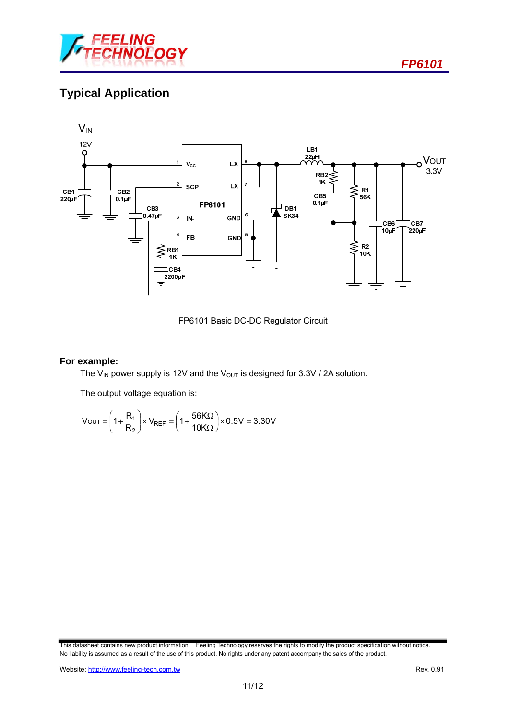

# **Typical Application**



FP6101 Basic DC-DC Regulator Circuit

#### **For example:**

The V<sub>IN</sub> power supply is 12V and the V<sub>OUT</sub> is designed for 3.3V / 2A solution.

The output voltage equation is:

$$
V_{OUT} = \left(1 + \frac{R_1}{R_2}\right) \times V_{REF} = \left(1 + \frac{56K\Omega}{10K\Omega}\right) \times 0.5V = 3.30V
$$

This datasheet contains new product information. Feeling Technology reserves the rights to modify the product specification without notice. No liability is assumed as a result of the use of this product. No rights under any patent accompany the sales of the product.